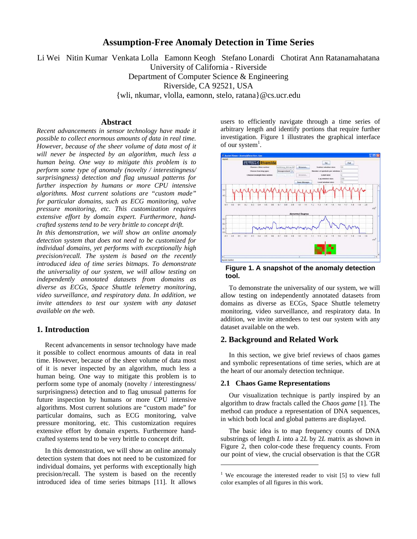# **Assumption-Free Anomaly Detection in Time Series**

Li Wei Nitin Kumar Venkata Lolla Eamonn Keogh Stefano Lonardi Chotirat Ann Ratanamahatana University of California - Riverside Department of Computer Science & Engineering Riverside, CA 92521, USA {wli, nkumar, vlolla, eamonn, stelo, ratana}@cs.ucr.edu

#### **Abstract**

*Recent advancements in sensor technology have made it possible to collect enormous amounts of data in real time. However, because of the sheer volume of data most of it will never be inspected by an algorithm, much less a human being. One way to mitigate this problem is to perform some type of anomaly (novelty / interestingness/ surprisingness) detection and flag unusual patterns for further inspection by humans or more CPU intensive algorithms. Most current solutions are "custom made" for particular domains, such as ECG monitoring, valve pressure monitoring, etc. This customization requires extensive effort by domain expert. Furthermore, handcrafted systems tend to be very brittle to concept drift.* 

*In this demonstration, we will show an online anomaly detection system that does not need to be customized for individual domains, yet performs with exceptionally high precision/recall. The system is based on the recently introduced idea of time series bitmaps. To demonstrate the universality of our system, we will allow testing on independently annotated datasets from domains as diverse as ECGs, Space Shuttle telemetry monitoring, video surveillance, and respiratory data. In addition, we invite attendees to test our system with any dataset available on the web.* 

# **1. Introduction**

Recent advancements in sensor technology have made it possible to collect enormous amounts of data in real time. However, because of the sheer volume of data most of it is never inspected by an algorithm, much less a human being. One way to mitigate this problem is to perform some type of anomaly (novelty / interestingness/ surprisingness) detection and to flag unusual patterns for future inspection by humans or more CPU intensive algorithms. Most current solutions are "custom made" for particular domains, such as ECG monitoring, valve pressure monitoring, etc. This customization requires extensive effort by domain experts. Furthermore handcrafted systems tend to be very brittle to concept drift.

In this demonstration, we will show an online anomaly detection system that does not need to be customized for individual domains, yet performs with exceptionally high precision/recall. The system is based on the recently introduced idea of time series bitmaps [11]. It allows users to efficiently navigate through a time series of arbitrary length and identify portions that require further investigation. Figure 1 illustrates the graphical interface of our system<sup>1</sup>.



**Figure 1. A snapshot of the anomaly detection tool.** 

To demonstrate the universality of our system, we will allow testing on independently annotated datasets from domains as diverse as ECGs, Space Shuttle telemetry monitoring, video surveillance, and respiratory data. In addition, we invite attendees to test our system with any dataset available on the web.

# **2. Background and Related Work**

In this section, we give brief reviews of chaos games and symbolic representations of time series, which are at the heart of our anomaly detection technique.

### **2.1 Chaos Game Representations**

 $\overline{a}$ 

Our visualization technique is partly inspired by an algorithm to draw fractals called the *Chaos game* [1]. The method can produce a representation of DNA sequences, in which both local and global patterns are displayed.

The basic idea is to map frequency counts of DNA substrings of length *L* into a 2*L* by 2*L* matrix as shown in Figure 2, then color-code these frequency counts. From our point of view, the crucial observation is that the CGR

<sup>&</sup>lt;sup>1</sup> We encourage the interested reader to visit  $[5]$  to view full color examples of all figures in this work.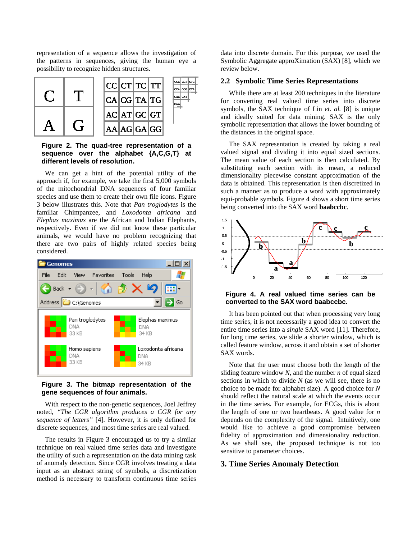representation of a sequence allows the investigation of the patterns in sequences, giving the human eye a possibility to recognize hidden structures.



**Figure 2. The quad-tree representation of a sequence over the alphabet {A,C,G,T} at different levels of resolution.** 

We can get a hint of the potential utility of the approach if, for example, we take the first 5,000 symbols of the mitochondrial DNA sequences of four familiar species and use them to create their own file icons. Figure 3 below illustrates this. Note that *Pan troglodytes* is the familiar Chimpanzee, and *Loxodonta africana* and *Elephas maximus* are the African and Indian Elephants, respectively. Even if we did not know these particular animals, we would have no problem recognizing that there are two pairs of highly related species being considered.



**Figure 3. The bitmap representation of the gene sequences of four animals.** 

With respect to the non-genetic sequences, Joel Jeffrey noted, *"The CGR algorithm produces a CGR for any sequence of letters"* [4]*.* However, it is only defined for discrete sequences, and most time series are real valued.

The results in Figure 3 encouraged us to try a similar technique on real valued time series data and investigate the utility of such a representation on the data mining task of anomaly detection. Since CGR involves treating a data input as an abstract string of symbols, a discretization method is necessary to transform continuous time series data into discrete domain. For this purpose, we used the Symbolic Aggregate approXimation (SAX) [8], which we review below.

#### **2.2 Symbolic Time Series Representations**

While there are at least 200 techniques in the literature for converting real valued time series into discrete symbols, the SAX technique of Lin *et. al.* [8] is unique and ideally suited for data mining. SAX is the only symbolic representation that allows the lower bounding of the distances in the original space.

The SAX representation is created by taking a real valued signal and dividing it into equal sized sections. The mean value of each section is then calculated. By substituting each section with its mean, a reduced dimensionality piecewise constant approximation of the data is obtained. This representation is then discretized in such a manner as to produce a word with approximately equi-probable symbols. Figure 4 shows a short time series being converted into the SAX word **baabccbc**.



**Figure 4. A real valued time series can be converted to the SAX word baabccbc.** 

It has been pointed out that when processing very long time series, it is not necessarily a good idea to convert the entire time series into a *single* SAX word [11]. Therefore, for long time series, we slide a shorter window, which is called feature window, across it and obtain a set of shorter SAX words.

Note that the user must choose both the length of the sliding feature window *N*, and the number *n* of equal sized sections in which to divide *N* (as we will see, there is no choice to be made for alphabet size). A good choice for *N* should reflect the natural scale at which the events occur in the time series. For example, for ECGs, this is about the length of one or two heartbeats. A good value for *n* depends on the complexity of the signal. Intuitively, one would like to achieve a good compromise between fidelity of approximation and dimensionality reduction. As we shall see, the proposed technique is not too sensitive to parameter choices.

# **3. Time Series Anomaly Detection**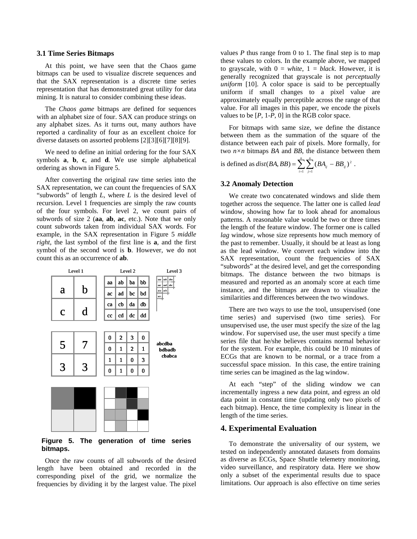#### **3.1 Time Series Bitmaps**

At this point, we have seen that the Chaos game bitmaps can be used to visualize discrete sequences and that the SAX representation is a discrete time series representation that has demonstrated great utility for data mining. It is natural to consider combining these ideas.

The *Chaos game* bitmaps are defined for sequences with an alphabet size of four. SAX can produce strings on any alphabet sizes. As it turns out, many authors have reported a cardinality of four as an excellent choice for diverse datasets on assorted problems [2][3][6][7][8][9].

We need to define an initial ordering for the four SAX symbols **a**, **b**, **c**, and **d**. We use simple alphabetical ordering as shown in Figure 5.

After converting the original raw time series into the SAX representation, we can count the frequencies of SAX "subwords" of length *L*, where *L* is the desired level of recursion. Level 1 frequencies are simply the raw counts of the four symbols. For level 2, we count pairs of subwords of size 2 (**aa**, **ab**, **ac**, etc.). Note that we only count subwords taken from individual SAX words. For example, in the SAX representation in Figure 5 *middle right*, the last symbol of the first line is **a**, and the first symbol of the second word is **b**. However, we do not count this as an occurrence of **ab**.



**Figure 5. The generation of time series bitmaps.** 

Once the raw counts of all subwords of the desired length have been obtained and recorded in the corresponding pixel of the grid, we normalize the frequencies by dividing it by the largest value. The pixel values  $P$  thus range from 0 to 1. The final step is to map these values to colors. In the example above, we mapped to grayscale, with  $0 = white$ ,  $1 = black$ . However, it is generally recognized that grayscale is not *perceptually uniform* [10]. A color space is said to be perceptually uniform if small changes to a pixel value are approximately equally perceptible across the range of that value. For all images in this paper, we encode the pixels values to be  $[P, 1-P, 0]$  in the RGB color space.

For bitmaps with same size, we define the distance between them as the summation of the square of the distance between each pair of pixels. More formally, for two *n×n* bitmaps *BA* and *BB*, the distance between them *n n*

is defined as 
$$
dist(BA, BB) = \sum_{i=1}^{n} \sum_{j=1}^{n} (BA_{ij} - BB_{ij})^2
$$
.

### **3.2 Anomaly Detection**

We create two concatenated windows and slide them together across the sequence. The latter one is called *lead* window, showing how far to look ahead for anomalous patterns. A reasonable value would be two or three times the length of the feature window. The former one is called *lag* window, whose size represents how much memory of the past to remember. Usually, it should be at least as long as the lead window. We convert each window into the SAX representation, count the frequencies of SAX "subwords" at the desired level, and get the corresponding bitmaps. The distance between the two bitmaps is measured and reported as an anomaly score at each time instance, and the bitmaps are drawn to visualize the similarities and differences between the two windows.

There are two ways to use the tool, unsupervised (one time series) and supervised (two time series). For unsupervised use, the user must specify the size of the lag window. For supervised use, the user must specify a time series file that he/she believes contains normal behavior for the system. For example, this could be 10 minutes of ECGs that are known to be normal, or a trace from a successful space mission. In this case, the entire training time series can be imagined as the lag window.

At each "step" of the sliding window we can incrementally ingress a new data point, and egress an old data point in constant time (updating only two pixels of each bitmap). Hence, the time complexity is linear in the length of the time series.

#### **4. Experimental Evaluation**

To demonstrate the universality of our system, we tested on independently annotated datasets from domains as diverse as ECGs, Space Shuttle telemetry monitoring, video surveillance, and respiratory data. Here we show only a subset of the experimental results due to space limitations. Our approach is also effective on time series